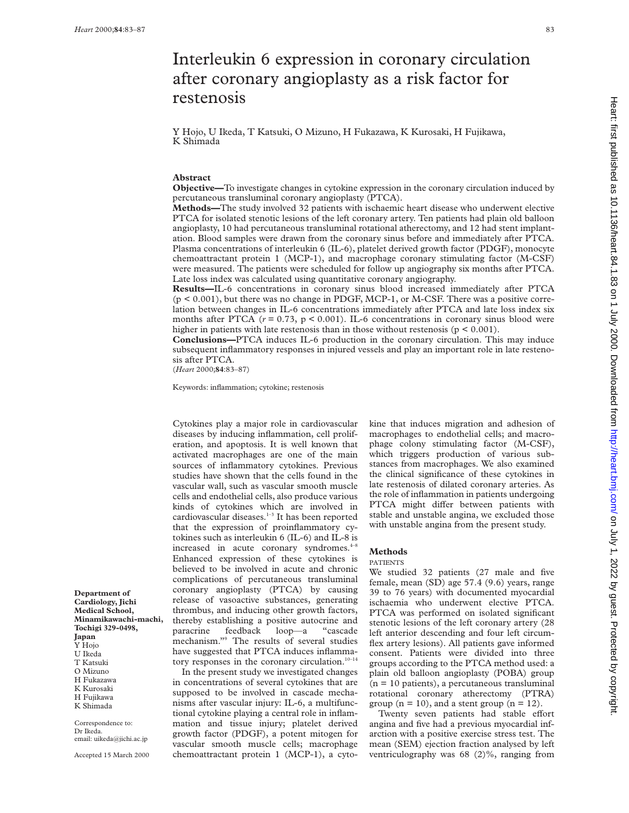on July 1, 2022 by guest. Protected by copyright. <http://heart.bmj.com/> Heart: first published as 10.1136/heart.84.1.83 on 1 July 2000. Downloaded from Heart: first published as 10.1136/heart.84.1.83 on 1 July 2000. Downloaded from http://heart.bmj.com/ on July 1, 2022 by guest. Protected by copyright

# Interleukin 6 expression in coronary circulation after coronary angioplasty as a risk factor for restenosis

Y Hojo, U Ikeda, T Katsuki, O Mizuno, H Fukazawa, K Kurosaki, H Fujikawa, K Shimada

#### **Abstract**

**Objective—**To investigate changes in cytokine expression in the coronary circulation induced by percutaneous transluminal coronary angioplasty (PTCA).

**Methods—**The study involved 32 patients with ischaemic heart disease who underwent elective PTCA for isolated stenotic lesions of the left coronary artery. Ten patients had plain old balloon angioplasty, 10 had percutaneous transluminal rotational atherectomy, and 12 had stent implantation. Blood samples were drawn from the coronary sinus before and immediately after PTCA. Plasma concentrations of interleukin 6 (IL-6), platelet derived growth factor (PDGF), monocyte chemoattractant protein 1 (MCP-1), and macrophage coronary stimulating factor (M-CSF) were measured. The patients were scheduled for follow up angiography six months after PTCA. Late loss index was calculated using quantitative coronary angiography.

**Results—**IL-6 concentrations in coronary sinus blood increased immediately after PTCA (p < 0.001), but there was no change in PDGF, MCP-1, or M-CSF. There was a positive correlation between changes in IL-6 concentrations immediately after PTCA and late loss index six months after PTCA  $(r = 0.73, p < 0.001)$ . IL-6 concentrations in coronary sinus blood were higher in patients with late restenosis than in those without restenosis ( $p \le 0.001$ ).

**Conclusions—**PTCA induces IL-6 production in the coronary circulation. This may induce subsequent inflammatory responses in injured vessels and play an important role in late restenosis after PTCA.

(*Heart* 2000;**84**:83–87)

Keywords: inflammation; cytokine; restenosis

Cytokines play a major role in cardiovascular diseases by inducing inflammation, cell proliferation, and apoptosis. It is well known that activated macrophages are one of the main sources of inflammatory cytokines. Previous studies have shown that the cells found in the vascular wall, such as vascular smooth muscle cells and endothelial cells, also produce various kinds of cytokines which are involved in cardiovascular diseases.<sup>1-3</sup> It has been reported that the expression of proinflammatory cytokines such as interleukin 6 (IL-6) and IL-8 is increased in acute coronary syndromes.<sup>4-</sup> Enhanced expression of these cytokines is believed to be involved in acute and chronic complications of percutaneous transluminal coronary angioplasty (PTCA) by causing release of vasoactive substances, generating thrombus, and inducing other growth factors, thereby establishing a positive autocrine and paracrine feedback loop—a "cascade mechanism."9 The results of several studies have suggested that PTCA induces inflammatory responses in the coronary circulation. $10^{-14}$ 

In the present study we investigated changes in concentrations of several cytokines that are supposed to be involved in cascade mechanisms after vascular injury: IL-6, a multifunctional cytokine playing a central role in inflammation and tissue injury; platelet derived growth factor (PDGF), a potent mitogen for vascular smooth muscle cells; macrophage chemoattractant protein 1 (MCP-1), a cytokine that induces migration and adhesion of macrophages to endothelial cells; and macrophage colony stimulating factor (M-CSF), which triggers production of various substances from macrophages. We also examined the clinical significance of these cytokines in late restenosis of dilated coronary arteries. As the role of inflammation in patients undergoing PTCA might differ between patients with stable and unstable angina, we excluded those with unstable angina from the present study.

#### **Methods**

#### PATIENTS

We studied 32 patients (27 male and five female, mean (SD) age 57.4 (9.6) years, range 39 to 76 years) with documented myocardial ischaemia who underwent elective PTCA. PTCA was performed on isolated significant stenotic lesions of the left coronary artery (28 left anterior descending and four left circumflex artery lesions). All patients gave informed consent. Patients were divided into three groups according to the PTCA method used: a plain old balloon angioplasty (POBA) group  $(n = 10$  patients), a percutaneous transluminal rotational coronary atherectomy (PTRA) group ( $n = 10$ ), and a stent group ( $n = 12$ ).

Twenty seven patients had stable effort angina and five had a previous myocardial infarction with a positive exercise stress test. The mean (SEM) ejection fraction analysed by left ventriculography was 68 (2)%, ranging from

**Department of Cardiology, Jichi Medical School, Minamikawachi-machi, Tochigi 329-0498, Japan** Y Hojo U Ikeda

- T Katsuki O Mizuno H Fukazawa
- K Kurosaki
- H Fujikawa

K Shimada

Correspondence to: Dr Ikeda. email: uikeda@jichi.ac.jp

Accepted 15 March 2000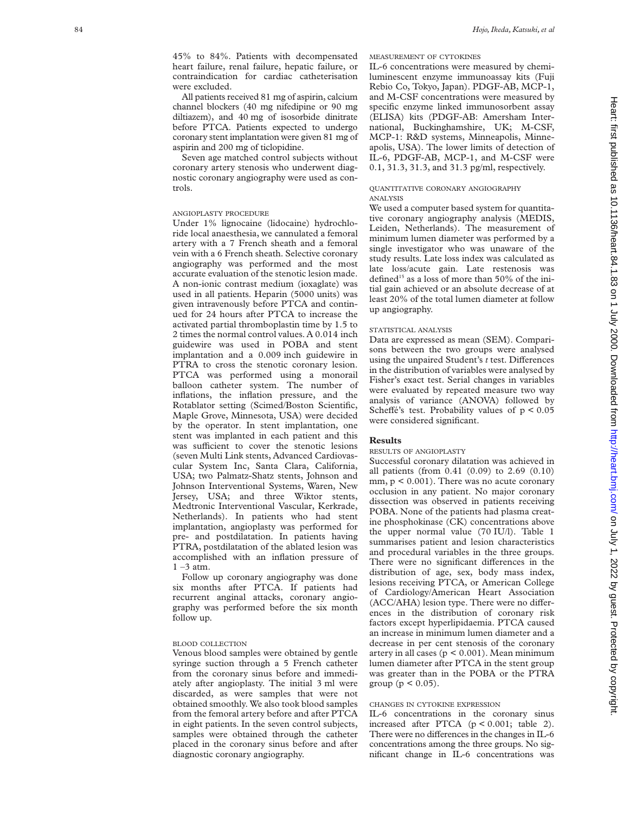45% to 84%. Patients with decompensated heart failure, renal failure, hepatic failure, or contraindication for cardiac catheterisation were excluded.

All patients received 81 mg of aspirin, calcium channel blockers (40 mg nifedipine or 90 mg diltiazem), and 40 mg of isosorbide dinitrate before PTCA. Patients expected to undergo coronary stent implantation were given 81 mg of aspirin and 200 mg of ticlopidine.

Seven age matched control subjects without coronary artery stenosis who underwent diagnostic coronary angiography were used as controls.

## ANGIOPLASTY PROCEDURE

Under 1% lignocaine (lidocaine) hydrochloride local anaesthesia, we cannulated a femoral artery with a 7 French sheath and a femoral vein with a 6 French sheath. Selective coronary angiography was performed and the most accurate evaluation of the stenotic lesion made. A non-ionic contrast medium (ioxaglate) was used in all patients. Heparin (5000 units) was given intravenously before PTCA and continued for 24 hours after PTCA to increase the activated partial thromboplastin time by 1.5 to 2 times the normal control values. A 0.014 inch guidewire was used in POBA and stent implantation and a 0.009 inch guidewire in PTRA to cross the stenotic coronary lesion. PTCA was performed using a monorail balloon catheter system. The number of inflations, the inflation pressure, and the Rotablator setting (Scimed/Boston Scientific, Maple Grove, Minnesota, USA) were decided by the operator. In stent implantation, one stent was implanted in each patient and this was sufficient to cover the stenotic lesions (seven Multi Link stents, Advanced Cardiovascular System Inc, Santa Clara, California, USA; two Palmatz-Shatz stents, Johnson and Johnson Interventional Systems, Waren, New Jersey, USA; and three Wiktor stents, Medtronic Interventional Vascular, Kerkrade, Netherlands). In patients who had stent implantation, angioplasty was performed for pre- and postdilatation. In patients having PTRA, postdilatation of the ablated lesion was accomplished with an inflation pressure of  $1 - 3$  atm.

Follow up coronary angiography was done six months after PTCA. If patients had recurrent anginal attacks, coronary angiography was performed before the six month follow up.

## BLOOD COLLECTION

Venous blood samples were obtained by gentle syringe suction through a 5 French catheter from the coronary sinus before and immediately after angioplasty. The initial 3 ml were discarded, as were samples that were not obtained smoothly. We also took blood samples from the femoral artery before and after PTCA in eight patients. In the seven control subjects, samples were obtained through the catheter placed in the coronary sinus before and after diagnostic coronary angiography.

### MEASUREMENT OF CYTOKINES

IL-6 concentrations were measured by chemiluminescent enzyme immunoassay kits (Fuji Rebio Co, Tokyo, Japan). PDGF-AB, MCP-1, and M-CSF concentrations were measured by specific enzyme linked immunosorbent assay (ELISA) kits (PDGF-AB: Amersham International, Buckinghamshire, UK; M-CSF, MCP-1: R&D systems, Minneapolis, Minneapolis, USA). The lower limits of detection of IL-6, PDGF-AB, MCP-1, and M-CSF were 0.1, 31.3, 31.3, and 31.3 pg/ml, respectively.

### QUANTITATIVE CORONARY ANGIOGRAPHY ANALYSIS

We used a computer based system for quantitative coronary angiography analysis (MEDIS, Leiden, Netherlands). The measurement of minimum lumen diameter was performed by a single investigator who was unaware of the study results. Late loss index was calculated as late loss/acute gain. Late restenosis was defined<sup>15</sup> as a loss of more than  $50\%$  of the initial gain achieved or an absolute decrease of at least 20% of the total lumen diameter at follow up angiography.

#### STATISTICAL ANALYSIS

Data are expressed as mean (SEM). Comparisons between the two groups were analysed using the unpaired Student's t test. Differences in the distribution of variables were analysed by Fisher's exact test. Serial changes in variables were evaluated by repeated measure two way analysis of variance (ANOVA) followed by Scheffé's test. Probability values of  $p < 0.05$ were considered significant.

## **Results**

## RESULTS OF ANGIOPLASTY

Successful coronary dilatation was achieved in all patients (from 0.41 (0.09) to 2.69 (0.10)  $mm, p \leq 0.001$ ). There was no acute coronary occlusion in any patient. No major coronary dissection was observed in patients receiving POBA. None of the patients had plasma creatine phosphokinase (CK) concentrations above the upper normal value (70 IU/l). Table 1 summarises patient and lesion characteristics and procedural variables in the three groups. There were no significant differences in the distribution of age, sex, body mass index, lesions receiving PTCA, or American College of Cardiology/American Heart Association (ACC/AHA) lesion type. There were no differences in the distribution of coronary risk factors except hyperlipidaemia. PTCA caused an increase in minimum lumen diameter and a decrease in per cent stenosis of the coronary artery in all cases ( $p < 0.001$ ). Mean minimum lumen diameter after PTCA in the stent group was greater than in the POBA or the PTRA group ( $p < 0.05$ ).

## CHANGES IN CYTOKINE EXPRESSION

IL-6 concentrations in the coronary sinus increased after PTCA (p < 0.001; table 2). There were no differences in the changes in IL-6 concentrations among the three groups. No significant change in IL-6 concentrations was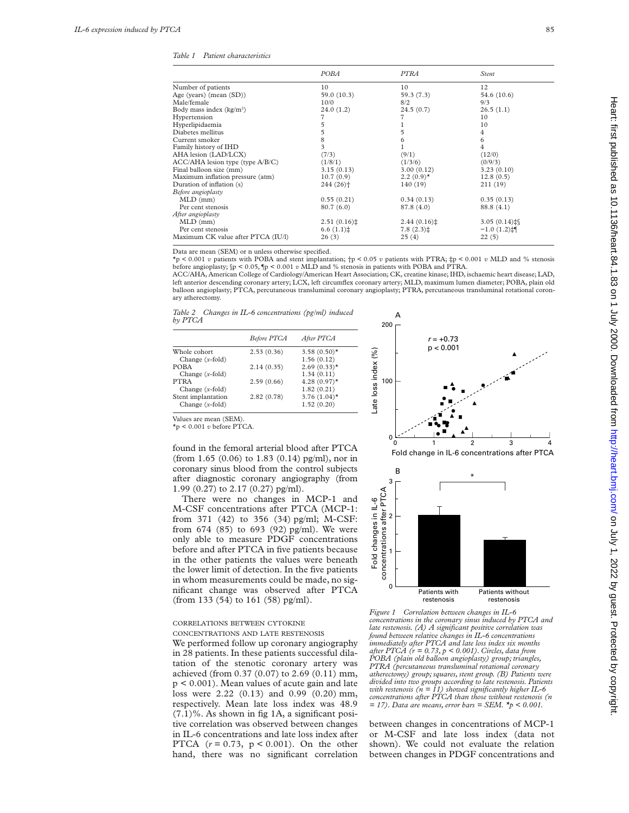*Table 1 Patient characteristics*

|                                       | <b>POBA</b>            | <b>PTRA</b>  | Stent                  |  |
|---------------------------------------|------------------------|--------------|------------------------|--|
| Number of patients                    | 10                     | 10           | 12                     |  |
| Age (years) (mean (SD))               | 59.0 (10.3)            | 59.3 (7.3)   | 54.6 (10.6)            |  |
| Male/female                           | 10/0                   | 8/2          | 9/3                    |  |
| Body mass index (kg/m <sup>2</sup> )  | 24.0(1.2)              | 24.5(0.7)    | 26.5(1.1)              |  |
| Hypertension                          | 7                      |              | 10                     |  |
| Hyperlipidaemia                       | 5                      |              | 10                     |  |
| Diabetes mellitus                     | 5                      | 5            | 4                      |  |
| Current smoker                        | 8                      | 6            | 6                      |  |
| Family history of IHD                 | 3                      |              | 4                      |  |
| AHA lesion (LAD/LCX)                  | (7/3)                  | (9/1)        | (12/0)                 |  |
| $ACC/AHA$ lesion type (type $A/B/C$ ) | (1/8/1)                | (1/3/6)      | (0/9/3)                |  |
| Final balloon size (mm)               | 3.15(0.13)             | 3.00(0.12)   | 3.23(0.10)             |  |
| Maximum inflation pressure (atm)      | 10.7(0.9)              | $2.2(0.9)$ * | 12.8(0.5)              |  |
| Duration of inflation (s)             | $244(26)$ <sup>+</sup> | 140(19)      | 211(19)                |  |
| Before angioplasty                    |                        |              |                        |  |
| $MLD$ (mm)                            | 0.55(0.21)             | 0.34(0.13)   | 0.35(0.13)             |  |
| Per cent stenosis                     | 80.7(6.0)              | 87.8 (4.0)   | 88.8 (4.1)             |  |
| After angioplasty                     |                        |              |                        |  |
| $MLD$ (mm)                            | 2.51(0.16)             | 2.44(0.16)   | 3.05 $(0.14)$ $\sharp$ |  |
| Per cent stenosis                     | 6.6(1.1)               | $7.8(2.3)$ ‡ | $-1.0(1.2)$ :          |  |
| Maximum CK value after PTCA (IU/l)    | 26(3)                  | 25(4)        | 22(5)                  |  |
|                                       |                        |              |                        |  |

Data are mean (SEM) or n unless otherwise specified.

\*p < 0.001 *v* patients with POBA and stent implantation; †p < 0.05 *v* patients with PTRA; ‡p < 0.001 *v* MLD and % stenosis before angioplasty; §p < 0.05, ¶p < 0.001 *v* MLD and % stenosis in patients with POBA and PTRA.

ACC/AHA, American College of Cardiology/American Heart Association; CK, creatine kinase; IHD, ischaemic heart disease; LAD, left anterior descending coronary artery; LCX, left circumflex coronary artery; MLD, maximum lumen diameter; POBA, plain old balloon angioplasty; PTCA, percutaneous transluminal coronary angioplasty; PTRA, percutaneous transluminal rotational coronary atherectomy.

200

A

*Table 2 Changes in IL-6 concentrations (pg/ml) induced by PTCA*

|                    | <b>Before PTCA</b> | After PTCA      |
|--------------------|--------------------|-----------------|
| Whole cohort       | 2.53(0.36)         | 3.58 $(0.50)$ * |
| Change $(x$ -fold) |                    | 1.56(0.12)      |
| <b>POBA</b>        | 2.14(0.35)         | $2.69(0.33)$ *  |
| Change $(x$ -fold) |                    | 1.34(0.11)      |
| <b>PTRA</b>        | 2.59(0.66)         | $4.28(0.97)$ *  |
| Change $(x$ -fold) |                    | 1.82(0.21)      |
| Stent implantation | 2.82(0.78)         | 3.76 $(1.04)$ * |
| Change $(x$ -fold) |                    | 1.52(0.20)      |
|                    |                    |                 |

*r* = +0.73  $p < 0.001$ ate loss index (%) Late loss index (%) 100 <sup>0</sup> <sup>4</sup> 0 1 2 3 Fold change in IL-6 concentrations after PTCA

Values are mean (SEM).

\*p < 0.001 *v* before PTCA.

found in the femoral arterial blood after PTCA (from 1.65 (0.06) to 1.83 (0.14) pg/ml), nor in coronary sinus blood from the control subjects after diagnostic coronary angiography (from 1.99 (0.27) to 2.17 (0.27) pg/ml).

There were no changes in MCP-1 and M-CSF concentrations after PTCA (MCP-1: from 371 (42) to 356 (34) pg/ml; M-CSF: from 674 (85) to 693 (92) pg/ml). We were only able to measure PDGF concentrations before and after PTCA in five patients because in the other patients the values were beneath the lower limit of detection. In the five patients in whom measurements could be made, no significant change was observed after PTCA (from 133 (54) to 161 (58) pg/ml).

#### CORRELATIONS BETWEEN CYTOKINE CONCENTRATIONS AND LATE RESTENOSIS

We performed follow up coronary angiography in 28 patients. In these patients successful dilatation of the stenotic coronary artery was achieved (from 0.37 (0.07) to 2.69 (0.11) mm, p < 0.001). Mean values of acute gain and late loss were 2.22 (0.13) and 0.99 (0.20) mm, respectively. Mean late loss index was 48.9  $(7.1)$ %. As shown in fig 1A, a significant positive correlation was observed between changes in IL-6 concentrations and late loss index after PTCA (*r* = 0.73, p < 0.001). On the other hand, there was no significant correlation



*Figure 1 Correlation between changes in IL-6 concentrations in the coronary sinus induced by PTCA and late restenosis. (A) A significant positive correlation was found between relative changes in IL-6 concentrations immediately after PTCA and late loss index six months after PTCA (r = 0.73, p < 0.001). Circles, data from POBA (plain old balloon angioplasty) group; triangles, PTRA (percutaneous transluminal rotational coronary atherectomy) group; squares, stent group. (B) Patients were divided into two groups according to late restenosis. Patients with restenosis (n = 11) showed significantly higher IL-6 concentrations after PTCA than those without restenosis (n = 17). Data are means, error bars = SEM. \*p < 0.001.*

between changes in concentrations of MCP-1 or M-CSF and late loss index (data not shown). We could not evaluate the relation between changes in PDGF concentrations and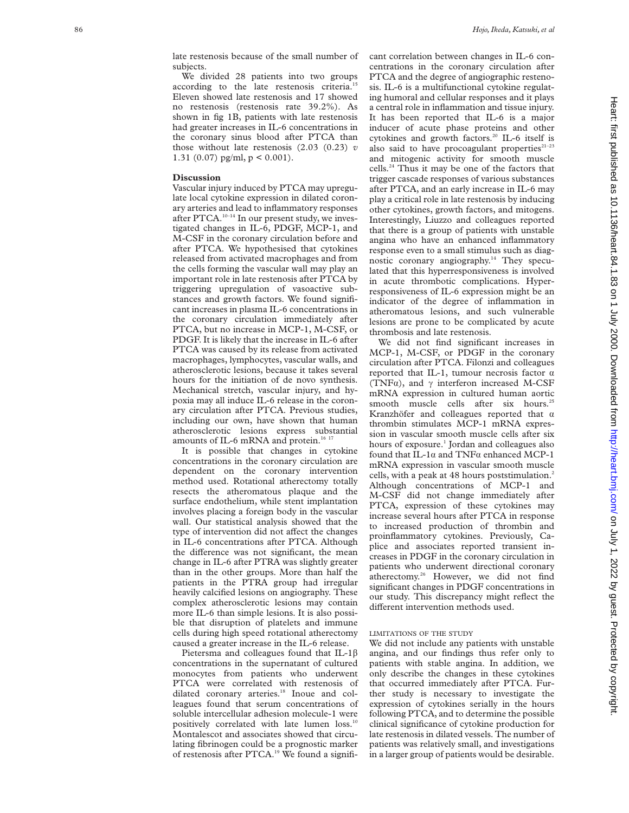late restenosis because of the small number of subjects.

We divided 28 patients into two groups according to the late restenosis criteria.<sup>15</sup> Eleven showed late restenosis and 17 showed no restenosis (restenosis rate 39.2%). As shown in fig 1B, patients with late restenosis had greater increases in IL-6 concentrations in the coronary sinus blood after PTCA than those without late restenosis (2.03 (0.23) *v* 1.31 (0.07) pg/ml,  $p < 0.001$ ).

#### **Discussion**

Vascular injury induced by PTCA may upregulate local cytokine expression in dilated coronary arteries and lead to inflammatory responses after PTCA.<sup>10-14</sup> In our present study, we investigated changes in IL-6, PDGF, MCP-1, and M-CSF in the coronary circulation before and after PTCA. We hypothesised that cytokines released from activated macrophages and from the cells forming the vascular wall may play an important role in late restenosis after PTCA by triggering upregulation of vasoactive substances and growth factors. We found significant increases in plasma IL-6 concentrations in the coronary circulation immediately after PTCA, but no increase in MCP-1, M-CSF, or PDGF. It is likely that the increase in IL-6 after PTCA was caused by its release from activated macrophages, lymphocytes, vascular walls, and atherosclerotic lesions, because it takes several hours for the initiation of de novo synthesis. Mechanical stretch, vascular injury, and hypoxia may all induce IL-6 release in the coronary circulation after PTCA. Previous studies, including our own, have shown that human atherosclerotic lesions express substantial amounts of IL-6 mRNA and protein.<sup>16 17</sup>

It is possible that changes in cytokine concentrations in the coronary circulation are dependent on the coronary intervention method used. Rotational atherectomy totally resects the atheromatous plaque and the surface endothelium, while stent implantation involves placing a foreign body in the vascular wall. Our statistical analysis showed that the type of intervention did not affect the changes in IL-6 concentrations after PTCA. Although the difference was not significant, the mean change in IL-6 after PTRA was slightly greater than in the other groups. More than half the patients in the PTRA group had irregular heavily calcified lesions on angiography. These complex atherosclerotic lesions may contain more IL-6 than simple lesions. It is also possible that disruption of platelets and immune cells during high speed rotational atherectomy caused a greater increase in the IL-6 release.

Pietersma and colleagues found that IL-1 $\beta$ concentrations in the supernatant of cultured monocytes from patients who underwent PTCA were correlated with restenosis of dilated coronary arteries.<sup>18</sup> Inoue and colleagues found that serum concentrations of soluble intercellular adhesion molecule-1 were positively correlated with late lumen loss.10 Montalescot and associates showed that circulating fibrinogen could be a prognostic marker of restenosis after PTCA.<sup>19</sup> We found a significant correlation between changes in IL-6 concentrations in the coronary circulation after PTCA and the degree of angiographic restenosis. IL-6 is a multifunctional cytokine regulating humoral and cellular responses and it plays a central role in inflammation and tissue injury. It has been reported that IL-6 is a major inducer of acute phase proteins and other cytokines and growth factors.<sup>20</sup> IL-6 itself is also said to have procoagulant properties $21-23$ and mitogenic activity for smooth muscle cells.24 Thus it may be one of the factors that trigger cascade responses of various substances after PTCA, and an early increase in IL-6 may play a critical role in late restenosis by inducing other cytokines, growth factors, and mitogens. Interestingly, Liuzzo and colleagues reported that there is a group of patients with unstable angina who have an enhanced inflammatory response even to a small stimulus such as diagnostic coronary angiography.14 They speculated that this hyperresponsiveness is involved in acute thrombotic complications. Hyperresponsiveness of IL-6 expression might be an indicator of the degree of inflammation in atheromatous lesions, and such vulnerable lesions are prone to be complicated by acute thrombosis and late restenosis.

We did not find significant increases in MCP-1, M-CSF, or PDGF in the coronary circulation after PTCA. Filonzi and colleagues reported that IL-1, tumour necrosis factor  $\alpha$ (TNF $\alpha$ ), and  $\gamma$  interferon increased M-CSF mRNA expression in cultured human aortic smooth muscle cells after six hours.<sup>25</sup> Kranzhöfer and colleagues reported that  $\alpha$ thrombin stimulates MCP-1 mRNA expression in vascular smooth muscle cells after six hours of exposure. <sup>1</sup> Jordan and colleagues also found that IL-1 á and TNF á enhanced MCP-1 mRNA expression in vascular smooth muscle cells, with a peak at 48 hours poststimulation. 2 Although concentrations of MCP-1 and M-CSF did not change immediately after PTCA, expression of these cytokines may increase several hours after PTCA in response to increased production of thrombin and proinflammatory cytokines. Previously, Caplice and associates reported transient increases in PDGF in the coronary circulation in patients who underwent directional coronary atherectomy.26 However, we did not find significant changes in PDGF concentrations in our study. This discrepancy might reflect the different intervention methods used.

### LIMITATIONS OF THE STUDY

We did not include any patients with unstable angina, and our findings thus refer only to patients with stable angina. In addition, we only describe the changes in these cytokines that occurred immediately after PTCA. Further study is necessary to investigate the expression of cytokines serially in the hours following PTCA, and to determine the possible clinical significance of cytokine production for late restenosis in dilated vessels. The number of patients was relatively small, and investigations in a larger group of patients would be desirable.